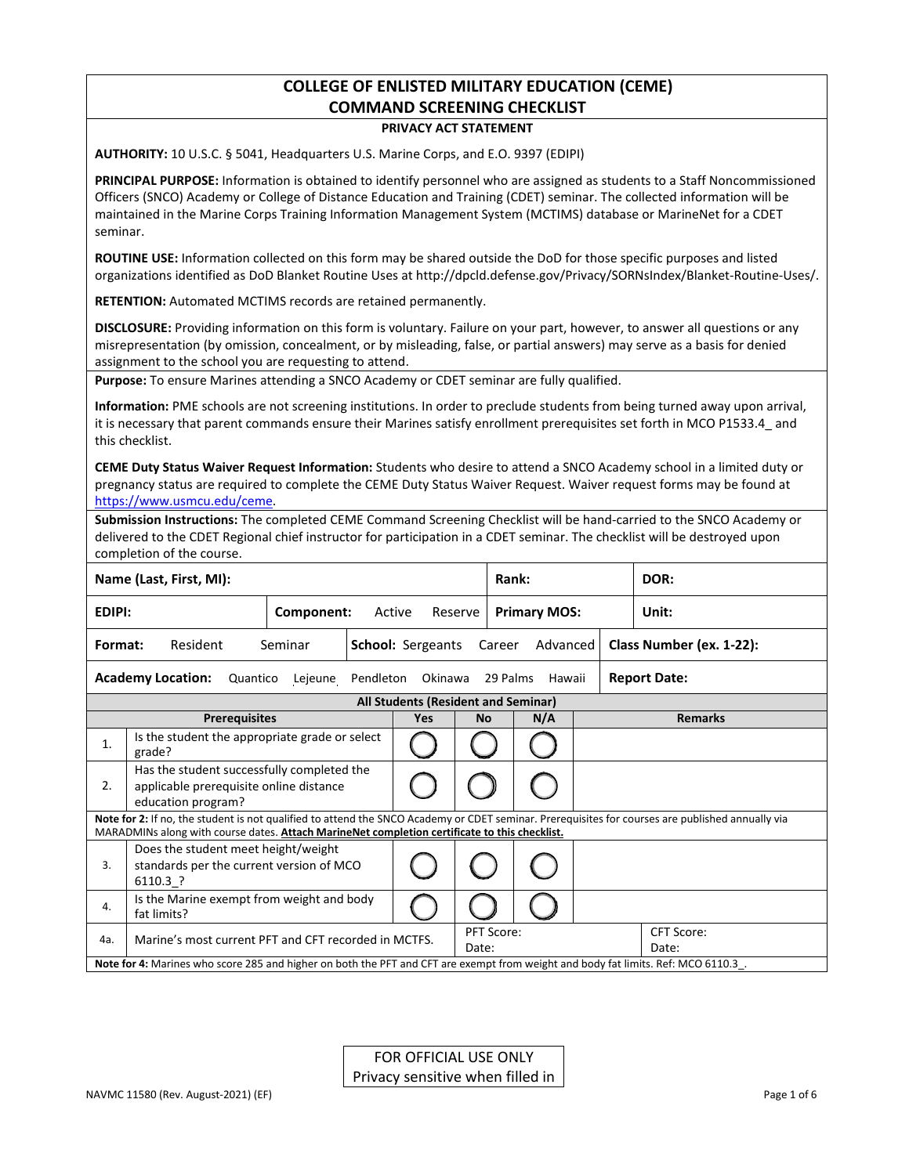# **COLLEGE OF ENLISTED MILITARY EDUCATION (CEME) COMMAND SCREENING CHECKLIST**

### **PRIVACY ACT STATEMENT**

**AUTHORITY:** 10 U.S.C. § 5041, Headquarters U.S. Marine Corps, and E.O. 9397 (EDIPI)

**PRINCIPAL PURPOSE:** Information is obtained to identify personnel who are assigned as students to a Staff Noncommissioned Officers (SNCO) Academy or College of Distance Education and Training (CDET) seminar. The collected information will be maintained in the Marine Corps Training Information Management System (MCTIMS) database or MarineNet for a CDET seminar.

**ROUTINE USE:** Information collected on this form may be shared outside the DoD for those specific purposes and listed organizations identified as DoD Blanket Routine Uses a[t http://dpcld.defense.gov/Privacy/SORNsIndex/Blanket-Routine-Uses/.](http://dpcld.defense.gov/Privacy/SORNsIndex/Blanket-Routine-Uses/)

**RETENTION:** Automated MCTIMS records are retained permanently.

**DISCLOSURE:** Providing information on this form is voluntary. Failure on your part, however, to answer all questions or any misrepresentation (by omission, concealment, or by misleading, false, or partial answers) may serve as a basis for denied assignment to the school you are requesting to attend.

**Purpose:** To ensure Marines attending a SNCO Academy or CDET seminar are fully qualified.

**Information:** PME schools are not screening institutions. In order to preclude students from being turned away upon arrival, it is necessary that parent commands ensure their Marines satisfy enrollment prerequisites set forth in MCO P1533.4\_ and this checklist.

**CEME Duty Status Waiver Request Information:** Students who desire to attend a SNCO Academy school in a limited duty or pregnancy status are required to complete the CEME Duty Status Waiver Request. Waiver request forms may be found at [https://www.usmcu.edu/ceme.](https://www.usmcu.edu/ceme)

**Submission Instructions:** The completed CEME Command Screening Checklist will be hand-carried to the SNCO Academy or delivered to the CDET Regional chief instructor for participation in a CDET seminar. The checklist will be destroyed upon completion of the course.

|               | Name (Last, First, MI):                                                                                                            |                          |                                     |                            | Rank:               |                          | DOR:                                                                                                                                             |  |
|---------------|------------------------------------------------------------------------------------------------------------------------------------|--------------------------|-------------------------------------|----------------------------|---------------------|--------------------------|--------------------------------------------------------------------------------------------------------------------------------------------------|--|
| <b>EDIPI:</b> |                                                                                                                                    | Active                   | Reserve                             |                            | <b>Primary MOS:</b> | Unit:                    |                                                                                                                                                  |  |
| Format:       | Resident<br>Seminar                                                                                                                | <b>School: Sergeants</b> |                                     | Career                     | Advanced            | Class Number (ex. 1-22): |                                                                                                                                                  |  |
|               | <b>Academy Location:</b><br>Quantico                                                                                               | Pendleton<br>Okinawa     |                                     | 29 Palms                   | Hawaii              | <b>Report Date:</b>      |                                                                                                                                                  |  |
|               |                                                                                                                                    |                          | All Students (Resident and Seminar) |                            |                     |                          |                                                                                                                                                  |  |
|               | <b>Prerequisites</b>                                                                                                               |                          | <b>Yes</b>                          | <b>No</b>                  |                     | N/A                      | <b>Remarks</b>                                                                                                                                   |  |
| 1.            | Is the student the appropriate grade or select<br>grade?                                                                           |                          |                                     |                            |                     |                          |                                                                                                                                                  |  |
| 2.            | Has the student successfully completed the<br>applicable prerequisite online distance<br>education program?                        |                          |                                     |                            |                     |                          |                                                                                                                                                  |  |
|               | MARADMINs along with course dates. Attach MarineNet completion certificate to this checklist.                                      |                          |                                     |                            |                     |                          | Note for 2: If no, the student is not qualified to attend the SNCO Academy or CDET seminar. Prerequisites for courses are published annually via |  |
| 3.            | Does the student meet height/weight<br>standards per the current version of MCO<br>6110.3 ?                                        |                          |                                     |                            |                     |                          |                                                                                                                                                  |  |
| 4.            | Is the Marine exempt from weight and body<br>fat limits?                                                                           |                          |                                     |                            |                     |                          |                                                                                                                                                  |  |
| 4a.           | Marine's most current PFT and CFT recorded in MCTFS.                                                                               |                          |                                     | <b>PFT Score:</b><br>Date: |                     |                          | CFT Score:<br>Date:                                                                                                                              |  |
|               | Note for 4: Marines who score 285 and higher on both the PFT and CFT are exempt from weight and body fat limits. Ref: MCO 6110.3 . |                          |                                     |                            |                     |                          |                                                                                                                                                  |  |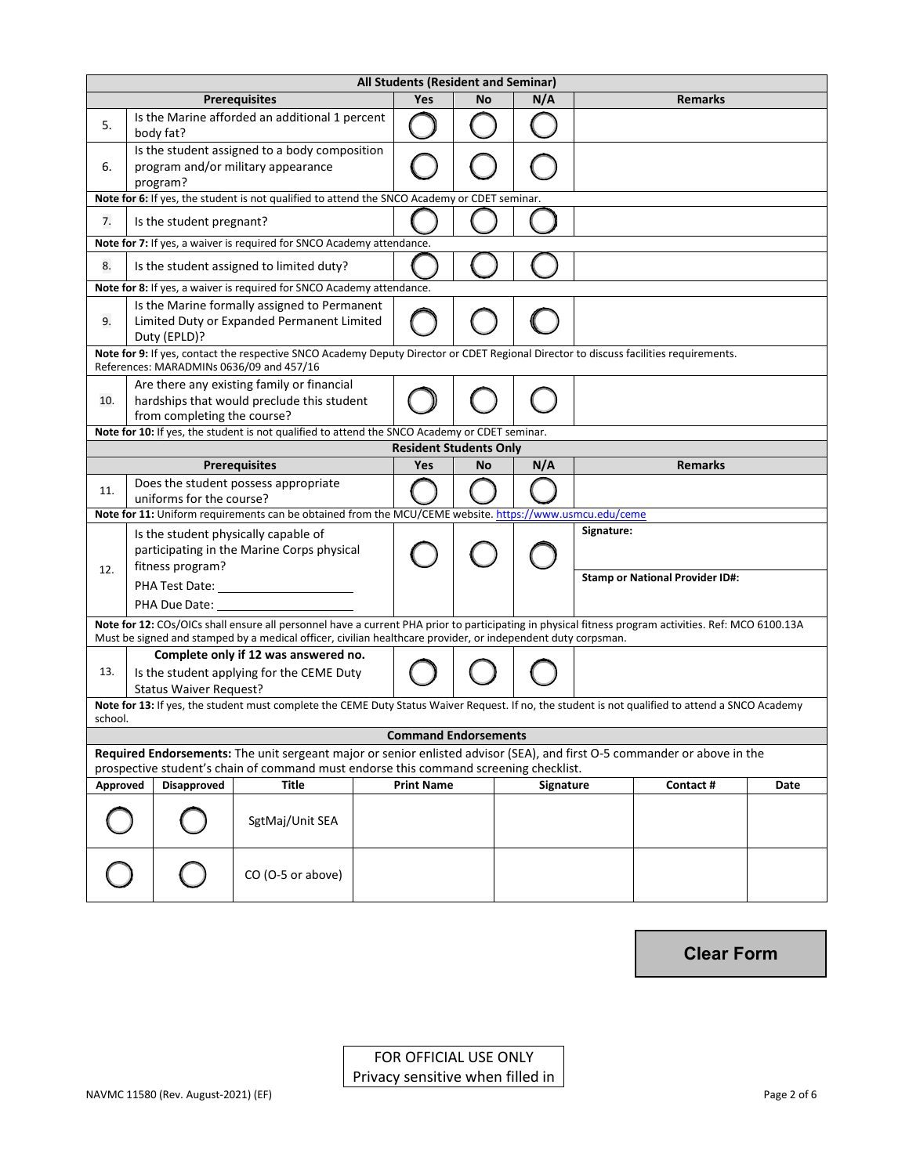|          |                                                                                                            |                                                                                                                                                                                                                                                                      |  | All Students (Resident and Seminar) |    |           |            |                                        |      |  |
|----------|------------------------------------------------------------------------------------------------------------|----------------------------------------------------------------------------------------------------------------------------------------------------------------------------------------------------------------------------------------------------------------------|--|-------------------------------------|----|-----------|------------|----------------------------------------|------|--|
|          |                                                                                                            | <b>Prerequisites</b>                                                                                                                                                                                                                                                 |  | Yes                                 | No | N/A       |            | <b>Remarks</b>                         |      |  |
| 5.       | body fat?                                                                                                  | Is the Marine afforded an additional 1 percent                                                                                                                                                                                                                       |  |                                     |    |           |            |                                        |      |  |
| 6.       | program?                                                                                                   | Is the student assigned to a body composition<br>program and/or military appearance                                                                                                                                                                                  |  |                                     |    |           |            |                                        |      |  |
|          |                                                                                                            | Note for 6: If yes, the student is not qualified to attend the SNCO Academy or CDET seminar.                                                                                                                                                                         |  |                                     |    |           |            |                                        |      |  |
| 7.       | Is the student pregnant?                                                                                   |                                                                                                                                                                                                                                                                      |  |                                     |    |           |            |                                        |      |  |
|          |                                                                                                            | Note for 7: If yes, a waiver is required for SNCO Academy attendance.                                                                                                                                                                                                |  |                                     |    |           |            |                                        |      |  |
| 8.       |                                                                                                            | Is the student assigned to limited duty?                                                                                                                                                                                                                             |  |                                     |    |           |            |                                        |      |  |
|          |                                                                                                            | Note for 8: If yes, a waiver is required for SNCO Academy attendance.                                                                                                                                                                                                |  |                                     |    |           |            |                                        |      |  |
| 9.       | Is the Marine formally assigned to Permanent<br>Limited Duty or Expanded Permanent Limited<br>Duty (EPLD)? |                                                                                                                                                                                                                                                                      |  |                                     |    |           |            |                                        |      |  |
|          | References: MARADMINs 0636/09 and 457/16                                                                   | Note for 9: If yes, contact the respective SNCO Academy Deputy Director or CDET Regional Director to discuss facilities requirements.                                                                                                                                |  |                                     |    |           |            |                                        |      |  |
| 10.      | from completing the course?                                                                                | Are there any existing family or financial<br>hardships that would preclude this student                                                                                                                                                                             |  |                                     |    |           |            |                                        |      |  |
|          |                                                                                                            | Note for 10: If yes, the student is not qualified to attend the SNCO Academy or CDET seminar.                                                                                                                                                                        |  |                                     |    |           |            |                                        |      |  |
|          |                                                                                                            |                                                                                                                                                                                                                                                                      |  | <b>Resident Students Only</b>       |    |           |            |                                        |      |  |
|          |                                                                                                            | <b>Prerequisites</b>                                                                                                                                                                                                                                                 |  | <b>Yes</b>                          | No | N/A       |            | <b>Remarks</b>                         |      |  |
| 11.      | uniforms for the course?                                                                                   | Does the student possess appropriate                                                                                                                                                                                                                                 |  |                                     |    |           |            |                                        |      |  |
|          |                                                                                                            | Note for 11: Uniform requirements can be obtained from the MCU/CEME website. https://www.usmcu.edu/ceme                                                                                                                                                              |  |                                     |    |           |            |                                        |      |  |
| 12.      | Is the student physically capable of<br>fitness program?                                                   | participating in the Marine Corps physical                                                                                                                                                                                                                           |  |                                     |    |           | Signature: | <b>Stamp or National Provider ID#:</b> |      |  |
|          | PHA Due Date:                                                                                              |                                                                                                                                                                                                                                                                      |  |                                     |    |           |            |                                        |      |  |
|          |                                                                                                            | Note for 12: COs/OICs shall ensure all personnel have a current PHA prior to participating in physical fitness program activities. Ref: MCO 6100.13A<br>Must be signed and stamped by a medical officer, civilian healthcare provider, or independent duty corpsman. |  |                                     |    |           |            |                                        |      |  |
| 13.      |                                                                                                            | Complete only if 12 was answered no.                                                                                                                                                                                                                                 |  |                                     |    |           |            |                                        |      |  |
|          | <b>Status Waiver Request?</b>                                                                              | Is the student applying for the CEME Duty                                                                                                                                                                                                                            |  |                                     |    |           |            |                                        |      |  |
| school.  |                                                                                                            | Note for 13: If yes, the student must complete the CEME Duty Status Waiver Request. If no, the student is not qualified to attend a SNCO Academy                                                                                                                     |  |                                     |    |           |            |                                        |      |  |
|          |                                                                                                            |                                                                                                                                                                                                                                                                      |  | <b>Command Endorsements</b>         |    |           |            |                                        |      |  |
|          |                                                                                                            | Required Endorsements: The unit sergeant major or senior enlisted advisor (SEA), and first O-5 commander or above in the<br>prospective student's chain of command must endorse this command screening checklist.                                                    |  |                                     |    |           |            |                                        |      |  |
| Approved | <b>Disapproved</b>                                                                                         | <b>Title</b>                                                                                                                                                                                                                                                         |  | <b>Print Name</b>                   |    | Signature |            | Contact #                              | Date |  |
|          |                                                                                                            | SgtMaj/Unit SEA                                                                                                                                                                                                                                                      |  |                                     |    |           |            |                                        |      |  |
|          |                                                                                                            | CO (O-5 or above)                                                                                                                                                                                                                                                    |  |                                     |    |           |            |                                        |      |  |

**Clear Form**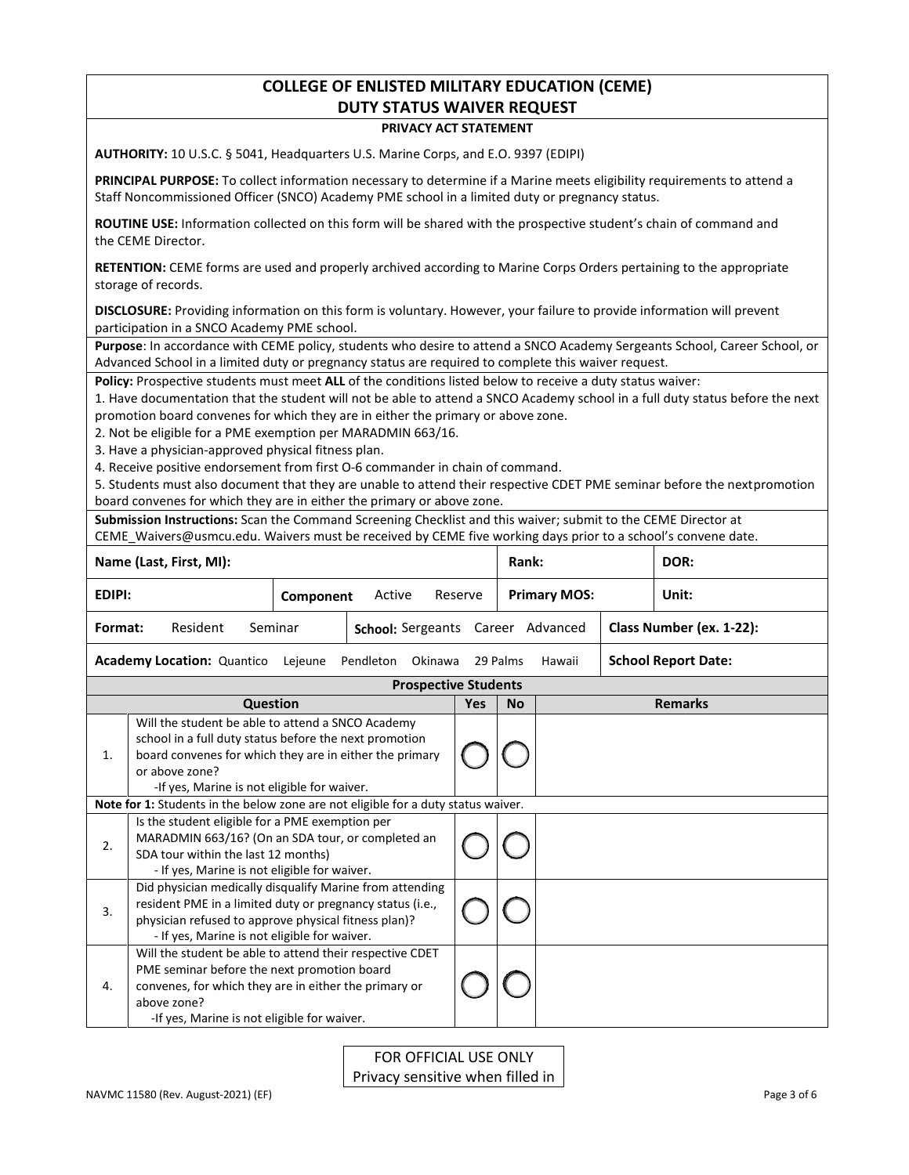### **COLLEGE OF ENLISTED MILITARY EDUCATION (CEME) DUTY STATUS WAIVER REQUEST**

### **PRIVACY ACT STATEMENT**

**AUTHORITY:** 10 U.S.C. § 5041, Headquarters U.S. Marine Corps, and E.O. 9397 (EDIPI)

**PRINCIPAL PURPOSE:** To collect information necessary to determine if a Marine meets eligibility requirements to attend a Staff Noncommissioned Officer (SNCO) Academy PME school in a limited duty or pregnancy status.

**ROUTINE USE:** Information collected on this form will be shared with the prospective student's chain of command and the CEME Director.

**RETENTION:** CEME forms are used and properly archived according to Marine Corps Orders pertaining to the appropriate storage of records.

**DISCLOSURE:** Providing information on this form is voluntary. However, your failure to provide information will prevent participation in a SNCO Academy PME school.

**Purpose**: In accordance with CEME policy, students who desire to attend a SNCO Academy Sergeants School, Career School, or Advanced School in a limited duty or pregnancy status are required to complete this waiver request.

**Policy:** Prospective students must meet **ALL** of the conditions listed below to receive a duty status waiver:

1. Have documentation that the student will not be able to attend a SNCO Academy school in a full duty status before the next promotion board convenes for which they are in either the primary or above zone.

2. Not be eligible for a PME exemption per MARADMIN 663/16.

3. Have a physician-approved physical fitness plan.

4. Receive positive endorsement from first O-6 commander in chain of command.

5. Students must also document that they are unable to attend their respective CDET PME seminar before the nextpromotion board convenes for which they are in either the primary or above zone.

**Submission Instructions:** Scan the Command Screening Checklist and this waiver; submit to the CEME Director at CEME\_Waivers@usmcu.edu. Waivers must be received by CEME five working days prior to a school's convene date.

|               | Name (Last, First, MI):                                                                                                                                                                                                                 |           |                   |                             |            | Rank:     |                     | DOR:                       |
|---------------|-----------------------------------------------------------------------------------------------------------------------------------------------------------------------------------------------------------------------------------------|-----------|-------------------|-----------------------------|------------|-----------|---------------------|----------------------------|
| <b>EDIPI:</b> |                                                                                                                                                                                                                                         | Component | Active            |                             | Reserve    |           | <b>Primary MOS:</b> | Unit:                      |
| Format:       | Resident<br>Seminar                                                                                                                                                                                                                     |           | School: Sergeants |                             |            |           | Career Advanced     | Class Number (ex. 1-22):   |
|               | <b>Academy Location: Quantico</b>                                                                                                                                                                                                       | Lejeune   | Pendleton         | Okinawa                     |            | 29 Palms  | Hawaii              | <b>School Report Date:</b> |
|               |                                                                                                                                                                                                                                         |           |                   | <b>Prospective Students</b> |            |           |                     |                            |
|               | Question                                                                                                                                                                                                                                |           |                   |                             | <b>Yes</b> | <b>No</b> |                     | <b>Remarks</b>             |
| 1.            | Will the student be able to attend a SNCO Academy<br>school in a full duty status before the next promotion<br>board convenes for which they are in either the primary<br>or above zone?<br>-If yes, Marine is not eligible for waiver. |           |                   |                             |            |           |                     |                            |
|               | Note for 1: Students in the below zone are not eligible for a duty status waiver.                                                                                                                                                       |           |                   |                             |            |           |                     |                            |
| 2.            | Is the student eligible for a PME exemption per<br>MARADMIN 663/16? (On an SDA tour, or completed an<br>SDA tour within the last 12 months)<br>- If yes, Marine is not eligible for waiver.                                             |           |                   |                             |            |           |                     |                            |
| 3.            | Did physician medically disqualify Marine from attending<br>resident PME in a limited duty or pregnancy status (i.e.,<br>physician refused to approve physical fitness plan)?<br>- If yes, Marine is not eligible for waiver.           |           |                   |                             |            |           |                     |                            |
| 4.            | Will the student be able to attend their respective CDET<br>PME seminar before the next promotion board<br>convenes, for which they are in either the primary or<br>above zone?<br>-If yes, Marine is not eligible for waiver.          |           |                   |                             |            |           |                     |                            |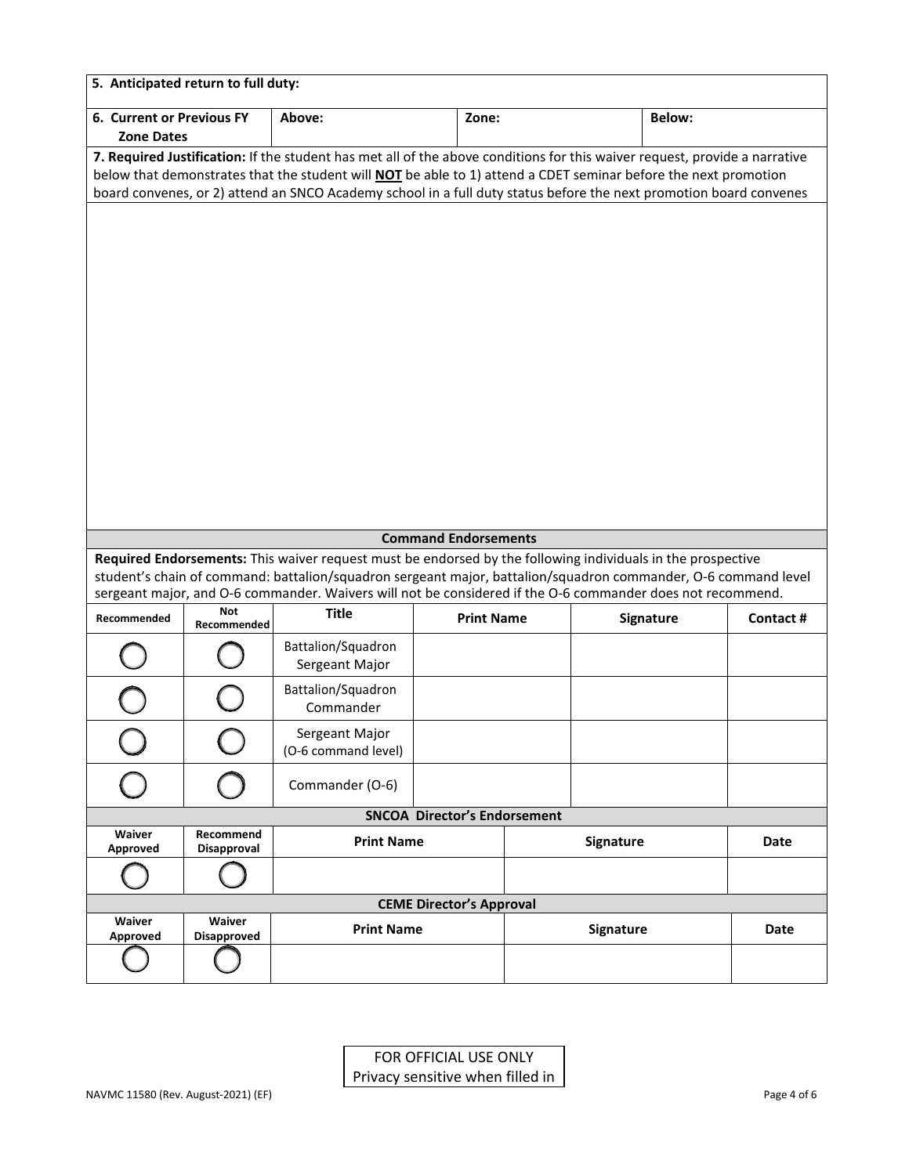|                                                | 5. Anticipated return to full duty: |                                                                                                                            |                                     |                              |           |               |      |
|------------------------------------------------|-------------------------------------|----------------------------------------------------------------------------------------------------------------------------|-------------------------------------|------------------------------|-----------|---------------|------|
| 6. Current or Previous FY<br><b>Zone Dates</b> |                                     | Above:                                                                                                                     | Zone:                               |                              |           | <b>Below:</b> |      |
|                                                |                                     | 7. Required Justification: If the student has met all of the above conditions for this waiver request, provide a narrative |                                     |                              |           |               |      |
|                                                |                                     | below that demonstrates that the student will NOT be able to 1) attend a CDET seminar before the next promotion            |                                     |                              |           |               |      |
|                                                |                                     | board convenes, or 2) attend an SNCO Academy school in a full duty status before the next promotion board convenes         |                                     |                              |           |               |      |
|                                                |                                     |                                                                                                                            |                                     |                              |           |               |      |
|                                                |                                     |                                                                                                                            |                                     |                              |           |               |      |
|                                                |                                     |                                                                                                                            |                                     |                              |           |               |      |
|                                                |                                     |                                                                                                                            |                                     |                              |           |               |      |
|                                                |                                     |                                                                                                                            |                                     |                              |           |               |      |
|                                                |                                     |                                                                                                                            |                                     |                              |           |               |      |
|                                                |                                     |                                                                                                                            |                                     |                              |           |               |      |
|                                                |                                     |                                                                                                                            |                                     |                              |           |               |      |
|                                                |                                     |                                                                                                                            |                                     |                              |           |               |      |
|                                                |                                     |                                                                                                                            |                                     |                              |           |               |      |
|                                                |                                     |                                                                                                                            |                                     |                              |           |               |      |
|                                                |                                     |                                                                                                                            |                                     |                              |           |               |      |
|                                                |                                     |                                                                                                                            |                                     |                              |           |               |      |
|                                                |                                     |                                                                                                                            |                                     |                              |           |               |      |
|                                                |                                     |                                                                                                                            |                                     |                              |           |               |      |
|                                                |                                     |                                                                                                                            | <b>Command Endorsements</b>         |                              |           |               |      |
|                                                |                                     | Required Endorsements: This waiver request must be endorsed by the following individuals in the prospective                |                                     |                              |           |               |      |
|                                                |                                     | student's chain of command: battalion/squadron sergeant major, battalion/squadron commander, O-6 command level             |                                     |                              |           |               |      |
|                                                |                                     | sergeant major, and O-6 commander. Waivers will not be considered if the O-6 commander does not recommend.                 |                                     |                              |           |               |      |
| Recommended                                    | <b>Not</b><br>Recommended           | <b>Title</b>                                                                                                               | <b>Print Name</b>                   | <b>Signature</b><br>Contact# |           |               |      |
|                                                |                                     | Battalion/Squadron                                                                                                         |                                     |                              |           |               |      |
|                                                |                                     | Sergeant Major                                                                                                             |                                     |                              |           |               |      |
|                                                |                                     | Battalion/Squadron                                                                                                         |                                     |                              |           |               |      |
|                                                |                                     | Commander                                                                                                                  |                                     |                              |           |               |      |
|                                                |                                     | Sergeant Major                                                                                                             |                                     |                              |           |               |      |
|                                                |                                     | (O-6 command level)                                                                                                        |                                     |                              |           |               |      |
|                                                |                                     | Commander (O-6)                                                                                                            |                                     |                              |           |               |      |
|                                                |                                     |                                                                                                                            |                                     |                              |           |               |      |
|                                                |                                     |                                                                                                                            | <b>SNCOA Director's Endorsement</b> |                              |           |               |      |
| Waiver<br>Approved                             | Recommend<br>Disapproval            | <b>Print Name</b>                                                                                                          |                                     |                              | Signature |               | Date |
|                                                |                                     |                                                                                                                            |                                     |                              |           |               |      |
|                                                |                                     |                                                                                                                            | <b>CEME Director's Approval</b>     |                              |           |               |      |
| Waiver                                         | Waiver                              | <b>Print Name</b>                                                                                                          |                                     |                              | Signature |               | Date |
| Approved                                       | <b>Disapproved</b>                  |                                                                                                                            |                                     |                              |           |               |      |
|                                                |                                     |                                                                                                                            |                                     |                              |           |               |      |
|                                                |                                     |                                                                                                                            |                                     |                              |           |               |      |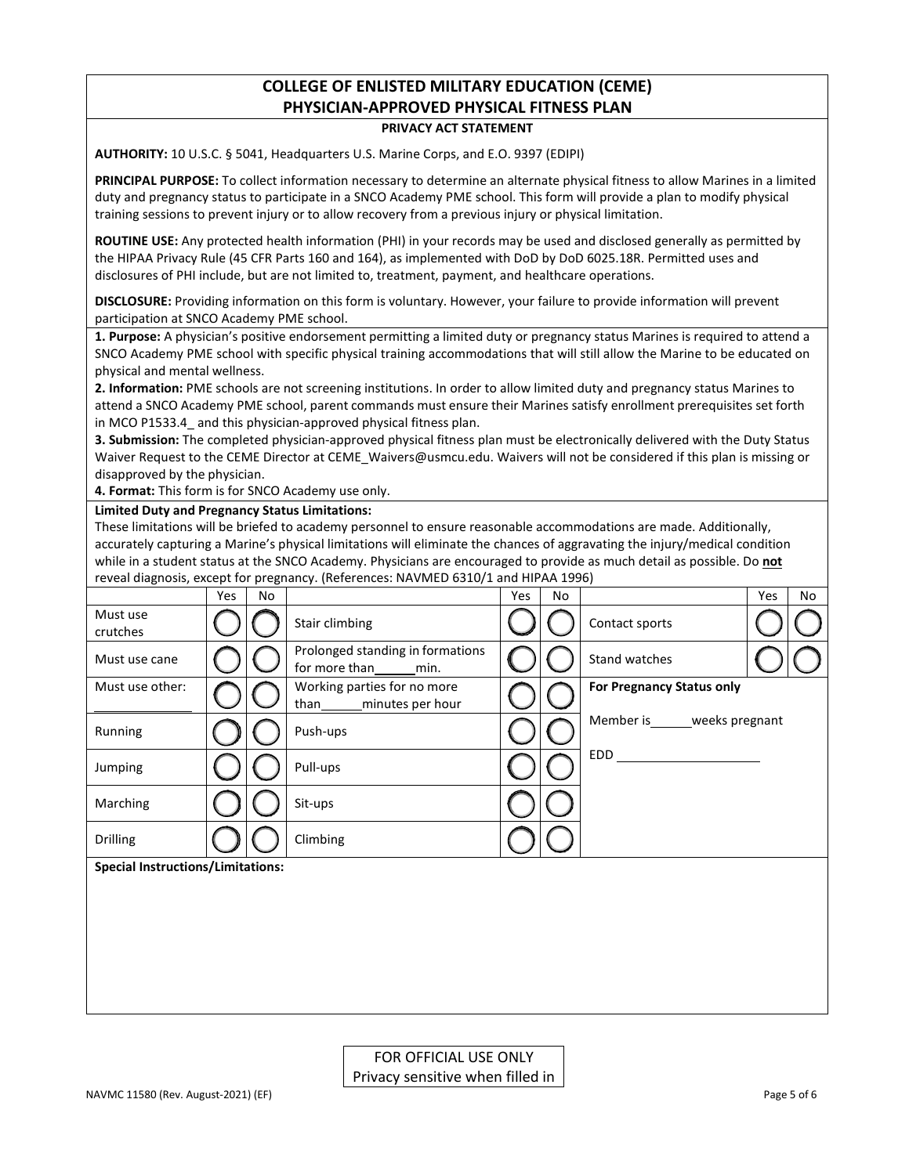# **COLLEGE OF ENLISTED MILITARY EDUCATION (CEME) PHYSICIAN-APPROVED PHYSICAL FITNESS PLAN**

### **PRIVACY ACT STATEMENT**

**AUTHORITY:** 10 U.S.C. § 5041, Headquarters U.S. Marine Corps, and E.O. 9397 (EDIPI)

**PRINCIPAL PURPOSE:** To collect information necessary to determine an alternate physical fitness to allow Marines in a limited duty and pregnancy status to participate in a SNCO Academy PME school. This form will provide a plan to modify physical training sessions to prevent injury or to allow recovery from a previous injury or physical limitation.

**ROUTINE USE:** Any protected health information (PHI) in your records may be used and disclosed generally as permitted by the HIPAA Privacy Rule (45 CFR Parts 160 and 164), as implemented with DoD by DoD 6025.18R. Permitted uses and disclosures of PHI include, but are not limited to, treatment, payment, and healthcare operations.

**DISCLOSURE:** Providing information on this form is voluntary. However, your failure to provide information will prevent participation at SNCO Academy PME school.

**1. Purpose:** A physician's positive endorsement permitting a limited duty or pregnancy status Marines is required to attend a SNCO Academy PME school with specific physical training accommodations that will still allow the Marine to be educated on physical and mental wellness.

**2. Information:** PME schools are not screening institutions. In order to allow limited duty and pregnancy status Marines to attend a SNCO Academy PME school, parent commands must ensure their Marines satisfy enrollment prerequisites set forth in MCO P1533.4 and this physician-approved physical fitness plan.

**3. Submission:** The completed physician-approved physical fitness plan must be electronically delivered with the Duty Status Waiver Request to the CEME Director at CEME\_Waivers@usmcu.edu. Waivers will not be considered if this plan is missing or disapproved by the physician.

**4. Format:** This form is for SNCO Academy use only.

#### **Limited Duty and Pregnancy Status Limitations:**

These limitations will be briefed to academy personnel to ensure reasonable accommodations are made. Additionally, accurately capturing a Marine's physical limitations will eliminate the chances of aggravating the injury/medical condition while in a student status at the SNCO Academy. Physicians are encouraged to provide as much detail as possible. Do **not** reveal diagnosis, except for pregnancy. (References: NAVMED 6310/1 and HIPAA 1996)

|                                          | Yes | No |                                                        | Yes | No |                                  | Yes | No |
|------------------------------------------|-----|----|--------------------------------------------------------|-----|----|----------------------------------|-----|----|
| Must use<br>crutches                     |     |    | Stair climbing                                         |     |    | Contact sports                   |     |    |
| Must use cane                            |     |    | Prolonged standing in formations<br>for more than min. |     |    | Stand watches                    |     |    |
| Must use other:                          |     |    | Working parties for no more<br>minutes per hour        |     |    | <b>For Pregnancy Status only</b> |     |    |
| Running                                  |     |    | Push-ups                                               |     |    | Member is______weeks pregnant    |     |    |
| Jumping                                  |     |    | Pull-ups                                               |     |    | EDD                              |     |    |
| Marching                                 |     |    | Sit-ups                                                |     |    |                                  |     |    |
| <b>Drilling</b>                          |     |    | Climbing                                               |     |    |                                  |     |    |
| <b>Special Instructions/Limitations:</b> |     |    |                                                        |     |    |                                  |     |    |
|                                          |     |    |                                                        |     |    |                                  |     |    |
|                                          |     |    |                                                        |     |    |                                  |     |    |
|                                          |     |    |                                                        |     |    |                                  |     |    |